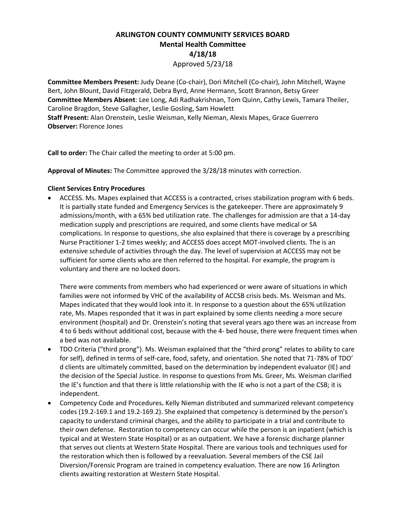## **ARLINGTON COUNTY COMMUNITY SERVICES BOARD Mental Health Committee 4/18/18**

Approved 5/23/18

**Committee Members Present:** Judy Deane (Co-chair), Dori Mitchell (Co-chair), John Mitchell, Wayne Bert, John Blount, David Fitzgerald, Debra Byrd, Anne Hermann, Scott Brannon, Betsy Greer **Committee Members Absent**: Lee Long, Adi Radhakrishnan, Tom Quinn, Cathy Lewis, Tamara Theiler, Caroline Bragdon, Steve Gallagher, Leslie Gosling, Sam Howlett **Staff Present:** Alan Orenstein, Leslie Weisman, Kelly Nieman, Alexis Mapes, Grace Guerrero **Observer:** Florence Jones

**Call to order:** The Chair called the meeting to order at 5:00 pm.

**Approval of Minutes:** The Committee approved the 3/28/18 minutes with correction.

## **Client Services Entry Procedures**

• ACCESS. Ms. Mapes explained that ACCESS is a contracted, crises stabilization program with 6 beds. It is partially state funded and Emergency Services is the gatekeeper. There are approximately 9 admissions/month, with a 65% bed utilization rate. The challenges for admission are that a 14-day medication supply and prescriptions are required, and some clients have medical or SA complications. In response to questions, she also explained that there is coverage by a prescribing Nurse Practitioner 1-2 times weekly; and ACCESS does accept MOT-involved clients. The is an extensive schedule of activities through the day. The level of supervision at ACCESS may not be sufficient for some clients who are then referred to the hospital. For example, the program is voluntary and there are no locked doors.

There were comments from members who had experienced or were aware of situations in which families were not informed by VHC of the availability of ACCSB crisis beds. Ms. Weisman and Ms. Mapes indicated that they would look into it. In response to a question about the 65% utilization rate, Ms. Mapes responded that it was in part explained by some clients needing a more secure environment (hospital) and Dr. Orenstein's noting that several years ago there was an increase from 4 to 6 beds without additional cost, because with the 4- bed house, there were frequent times when a bed was not available.

- TDO Criteria ("third prong"). Ms. Weisman explained that the "third prong" relates to ability to care for self), defined in terms of self-care, food, safety, and orientation. She noted that 71-78% of TDO' d clients are ultimately committed, based on the determination by independent evaluator (IE) and the decision of the Special Justice. In response to questions from Ms. Greer, Ms. Weisman clarified the IE's function and that there is little relationship with the IE who is not a part of the CSB; it is independent.
- Competency Code and Procedures**.** Kelly Nieman distributed and summarized relevant competency codes (19.2-169.1 and 19.2-169.2). She explained that competency is determined by the person's capacity to understand criminal charges, and the ability to participate in a trial and contribute to their own defense. Restoration to competency can occur while the person is an inpatient (which is typical and at Western State Hospital) or as an outpatient. We have a forensic discharge planner that serves out clients at Western State Hospital. There are various tools and techniques used for the restoration which then is followed by a reevaluation. Several members of the CSE Jail Diversion/Forensic Program are trained in competency evaluation. There are now 16 Arlington clients awaiting restoration at Western State Hospital.